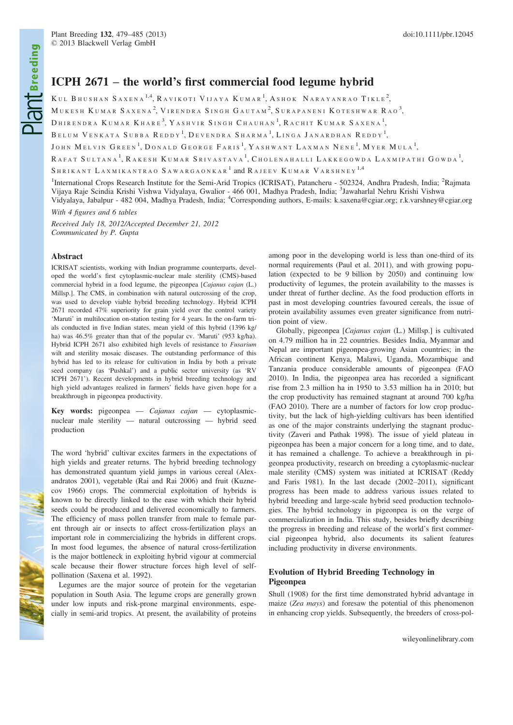# ICPH 2671 – the world's first commercial food legume hybrid

KUL BHUSHAN SAXENA<sup>1,4</sup>, RAVIKOTI VIJAYA KUMAR<sup>1</sup>, ASHOK NARAYANRAO TIKLE<sup>2</sup>,

 $\rm M$ ukesh  $\rm K$ umar Saxena<sup>2</sup>, Virendra Singh Gautam<sup>2</sup>, Surapaneni Koteshwar Rao<sup>3</sup>,

DHIRENDRA KUMAR KHARE<sup>3</sup>, Yashvir Singh Chauhan<sup>1</sup>, Rachit Kumar Saxena<sup>1</sup>,

BELUM VENKATA SUBBA  $\mathsf{REDDY}^1, \mathsf{D}$ evendra Sharma $^1, \mathsf{L}$ inga Janardhan  $\mathsf{REDDY}^1,$ 

JOHN MELVIN GREEN<sup>1</sup>, DONALD GEORGE FARIS<sup>1</sup>, YASHWANT LAXMAN NENE<sup>1</sup>, Myer Mula<sup>1</sup>,

RAFAT SULTANA<sup>1</sup>, RAKESH KUMAR SRIVASTAVA<sup>1</sup>, CHOLENAHALLI LAKKEGOWDA LAXMIPATHI GOWDA<sup>1</sup>,

SHRIKANT LAXMIKANTRAO SAWARGAONKAR<sup>1</sup> and RAJEEV KUMAR VARSHNEY<sup>1,4</sup>

<sup>1</sup>International Crops Research Institute for the Semi-Arid Tropics (ICRISAT), Patancheru - 502324, Andhra Pradesh, India; <sup>2</sup>Rajmata Vijaya Raje Scindia Krishi Vishwa Vidyalaya, Gwalior - 466 001, Madhya Pradesh, India; <sup>3</sup>Jawaharlal Nehru Krishi Vishwa Vidyalaya, Jabalpur - 482 004, Madhya Pradesh, India; <sup>4</sup>Corresponding authors, E-mails: k.saxena@cgiar.org; r.k.varshney@cgiar.org

With 4 figures and 6 tables

Received July 18, 2012/Accepted December 21, 2012 Communicated by P. Gupta

## Abstract

ICRISAT scientists, working with Indian programme counterparts, developed the world's first cytoplasmic-nuclear male sterility (CMS)-based commercial hybrid in a food legume, the pigeonpea [Cajanus cajan (L.) Millsp.]. The CMS, in combination with natural outcrossing of the crop, was used to develop viable hybrid breeding technology. Hybrid ICPH 2671 recorded 47% superiority for grain yield over the control variety 'Maruti' in multilocation on-station testing for 4 years. In the on-farm trials conducted in five Indian states, mean yield of this hybrid (1396 kg/ ha) was 46.5% greater than that of the popular cv. 'Maruti' (953 kg/ha). Hybrid ICPH 2671 also exhibited high levels of resistance to Fusarium wilt and sterility mosaic diseases. The outstanding performance of this hybrid has led to its release for cultivation in India by both a private seed company (as 'Pushkal') and a public sector university (as 'RV ICPH 2671'). Recent developments in hybrid breeding technology and high yield advantages realized in farmers' fields have given hope for a breakthrough in pigeonpea productivity.

Key words: pigeonpea — Cajanus cajan — cytoplasmicnuclear male sterility — natural outcrossing — hybrid seed production

The word 'hybrid' cultivar excites farmers in the expectations of high yields and greater returns. The hybrid breeding technology has demonstrated quantum yield jumps in various cereal (Alexandratos 2001), vegetable (Rai and Rai 2006) and fruit (Kuznecov 1966) crops. The commercial exploitation of hybrids is known to be directly linked to the ease with which their hybrid seeds could be produced and delivered economically to farmers. The efficiency of mass pollen transfer from male to female parent through air or insects to affect cross-fertilization plays an important role in commercializing the hybrids in different crops. In most food legumes, the absence of natural cross-fertilization is the major bottleneck in exploiting hybrid vigour at commercial scale because their flower structure forces high level of selfpollination (Saxena et al. 1992).

Legumes are the major source of protein for the vegetarian population in South Asia. The legume crops are generally grown under low inputs and risk-prone marginal environments, especially in semi-arid tropics. At present, the availability of proteins among poor in the developing world is less than one-third of its normal requirements (Paul et al. 2011), and with growing population (expected to be 9 billion by 2050) and continuing low productivity of legumes, the protein availability to the masses is under threat of further decline. As the food production efforts in past in most developing countries favoured cereals, the issue of protein availability assumes even greater significance from nutrition point of view.

Globally, pigeonpea [Cajanus cajan (L.) Millsp.] is cultivated on 4.79 million ha in 22 countries. Besides India, Myanmar and Nepal are important pigeonpea-growing Asian countries; in the African continent Kenya, Malawi, Uganda, Mozambique and Tanzania produce considerable amounts of pigeonpea (FAO 2010). In India, the pigeonpea area has recorded a significant rise from 2.3 million ha in 1950 to 3.53 million ha in 2010; but the crop productivity has remained stagnant at around 700 kg/ha (FAO 2010). There are a number of factors for low crop productivity, but the lack of high-yielding cultivars has been identified as one of the major constraints underlying the stagnant productivity (Zaveri and Pathak 1998). The issue of yield plateau in pigeonpea has been a major concern for a long time, and to date, it has remained a challenge. To achieve a breakthrough in pigeonpea productivity, research on breeding a cytoplasmic-nuclear male sterility (CMS) system was initiated at ICRISAT (Reddy and Faris 1981). In the last decade (2002–2011), significant progress has been made to address various issues related to hybrid breeding and large-scale hybrid seed production technologies. The hybrid technology in pigeonpea is on the verge of commercialization in India. This study, besides briefly describing the progress in breeding and release of the world's first commercial pigeonpea hybrid, also documents its salient features including productivity in diverse environments.

# Evolution of Hybrid Breeding Technology in Pigeonpea

Shull (1908) for the first time demonstrated hybrid advantage in maize (Zea mays) and foresaw the potential of this phenomenon in enhancing crop yields. Subsequently, the breeders of cross-pol-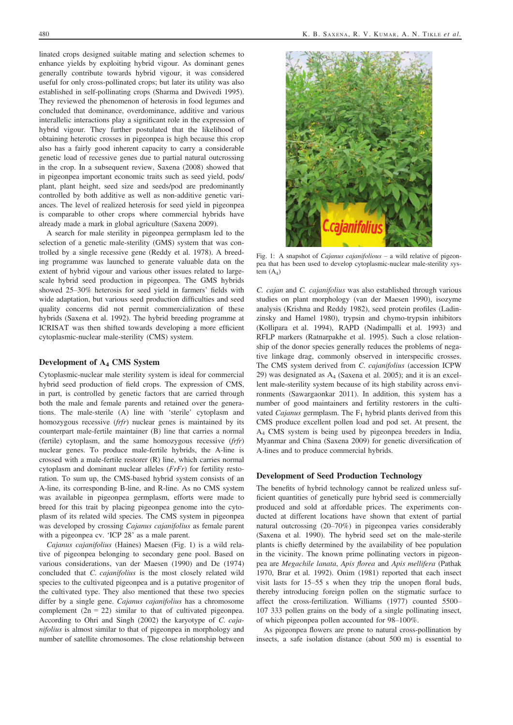linated crops designed suitable mating and selection schemes to enhance yields by exploiting hybrid vigour. As dominant genes generally contribute towards hybrid vigour, it was considered useful for only cross-pollinated crops; but later its utility was also established in self-pollinating crops (Sharma and Dwivedi 1995). They reviewed the phenomenon of heterosis in food legumes and concluded that dominance, overdominance, additive and various interallelic interactions play a significant role in the expression of hybrid vigour. They further postulated that the likelihood of obtaining heterotic crosses in pigeonpea is high because this crop also has a fairly good inherent capacity to carry a considerable genetic load of recessive genes due to partial natural outcrossing in the crop. In a subsequent review, Saxena (2008) showed that in pigeonpea important economic traits such as seed yield, pods/ plant, plant height, seed size and seeds/pod are predominantly controlled by both additive as well as non-additive genetic variances. The level of realized heterosis for seed yield in pigeonpea is comparable to other crops where commercial hybrids have already made a mark in global agriculture (Saxena 2009).

A search for male sterility in pigeonpea germplasm led to the selection of a genetic male-sterility (GMS) system that was controlled by a single recessive gene (Reddy et al. 1978). A breeding programme was launched to generate valuable data on the extent of hybrid vigour and various other issues related to largescale hybrid seed production in pigeonpea. The GMS hybrids showed 25–30% heterosis for seed yield in farmers' fields with wide adaptation, but various seed production difficulties and seed quality concerns did not permit commercialization of these hybrids (Saxena et al. 1992). The hybrid breeding programme at ICRISAT was then shifted towards developing a more efficient cytoplasmic-nuclear male-sterility (CMS) system.

## Development of A4 CMS System

Cytoplasmic-nuclear male sterility system is ideal for commercial hybrid seed production of field crops. The expression of CMS, in part, is controlled by genetic factors that are carried through both the male and female parents and retained over the generations. The male-sterile (A) line with 'sterile' cytoplasm and homozygous recessive (frfr) nuclear genes is maintained by its counterpart male-fertile maintainer (B) line that carries a normal (fertile) cytoplasm, and the same homozygous recessive (frfr) nuclear genes. To produce male-fertile hybrids, the A-line is crossed with a male-fertile restorer (R) line, which carries normal cytoplasm and dominant nuclear alleles (FrFr) for fertility restoration. To sum up, the CMS-based hybrid system consists of an A-line, its corresponding B-line, and R-line. As no CMS system was available in pigeonpea germplasm, efforts were made to breed for this trait by placing pigeonpea genome into the cytoplasm of its related wild species. The CMS system in pigeonpea was developed by crossing *Cajanus cajanifolius* as female parent with a pigeonpea cv. 'ICP 28' as a male parent.

Cajanus cajanifolius (Haines) Maesen (Fig. 1) is a wild relative of pigeonpea belonging to secondary gene pool. Based on various considerations, van der Maesen (1990) and De (1974) concluded that C. cajanifolius is the most closely related wild species to the cultivated pigeonpea and is a putative progenitor of the cultivated type. They also mentioned that these two species differ by a single gene. Cajanus cajanifolius has a chromosome complement  $(2n = 22)$  similar to that of cultivated pigeonpea. According to Ohri and Singh (2002) the karyotype of C. cajanifolius is almost similar to that of pigeonpea in morphology and number of satellite chromosomes. The close relationship between



Fig. 1: A snapshot of *Cajanus cajanifolious* – a wild relative of pigeonpea that has been used to develop cytoplasmic-nuclear male-sterility system  $(A_4)$ 

C. cajan and C. cajanifolius was also established through various studies on plant morphology (van der Maesen 1990), isozyme analysis (Krishna and Reddy 1982), seed protein profiles (Ladinzinsky and Hamel 1980), trypsin and chymo-trypsin inhibitors (Kollipara et al. 1994), RAPD (Nadimpalli et al. 1993) and RFLP markers (Ratnarpakhe et al. 1995). Such a close relationship of the donor species generally reduces the problems of negative linkage drag, commonly observed in interspecific crosses. The CMS system derived from C. cajanifolius (accession ICPW 29) was designated as  $A_4$  (Saxena et al. 2005); and it is an excellent male-sterility system because of its high stability across environments (Sawargaonkar 2011). In addition, this system has a number of good maintainers and fertility restorers in the cultivated Cajanus germplasm. The  $F_1$  hybrid plants derived from this CMS produce excellent pollen load and pod set. At present, the A4 CMS system is being used by pigeonpea breeders in India, Myanmar and China (Saxena 2009) for genetic diversification of A-lines and to produce commercial hybrids.

## Development of Seed Production Technology

The benefits of hybrid technology cannot be realized unless sufficient quantities of genetically pure hybrid seed is commercially produced and sold at affordable prices. The experiments conducted at different locations have shown that extent of partial natural outcrossing (20–70%) in pigeonpea varies considerably (Saxena et al. 1990). The hybrid seed set on the male-sterile plants is chiefly determined by the availability of bee population in the vicinity. The known prime pollinating vectors in pigeonpea are Megachile lanata, Apis florea and Apis mellifera (Pathak 1970, Brar et al. 1992). Onim (1981) reported that each insect visit lasts for 15–55 s when they trip the unopen floral buds, thereby introducing foreign pollen on the stigmatic surface to affect the cross-fertilization. Williams (1977) counted 5500– 107 333 pollen grains on the body of a single pollinating insect, of which pigeonpea pollen accounted for 98–100%.

As pigeonpea flowers are prone to natural cross-pollination by insects, a safe isolation distance (about 500 m) is essential to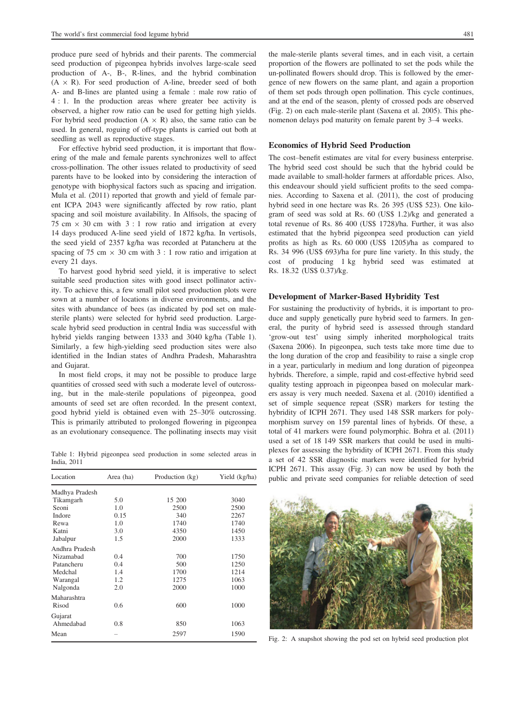produce pure seed of hybrids and their parents. The commercial seed production of pigeonpea hybrids involves large-scale seed production of A-, B-, R-lines, and the hybrid combination  $(A \times R)$ . For seed production of A-line, breeder seed of both A- and B-lines are planted using a female : male row ratio of 4 : 1. In the production areas where greater bee activity is observed, a higher row ratio can be used for getting high yields. For hybrid seed production  $(A \times R)$  also, the same ratio can be used. In general, roguing of off-type plants is carried out both at seedling as well as reproductive stages.

For effective hybrid seed production, it is important that flowering of the male and female parents synchronizes well to affect cross-pollination. The other issues related to productivity of seed parents have to be looked into by considering the interaction of genotype with biophysical factors such as spacing and irrigation. Mula et al. (2011) reported that growth and yield of female parent ICPA 2043 were significantly affected by row ratio, plant spacing and soil moisture availability. In Alfisols, the spacing of 75 cm  $\times$  30 cm with 3 : 1 row ratio and irrigation at every 14 days produced A-line seed yield of 1872 kg/ha. In vertisols, the seed yield of 2357 kg/ha was recorded at Patancheru at the spacing of 75 cm  $\times$  30 cm with 3 : 1 row ratio and irrigation at every 21 days.

To harvest good hybrid seed yield, it is imperative to select suitable seed production sites with good insect pollinator activity. To achieve this, a few small pilot seed production plots were sown at a number of locations in diverse environments, and the sites with abundance of bees (as indicated by pod set on malesterile plants) were selected for hybrid seed production. Largescale hybrid seed production in central India was successful with hybrid yields ranging between 1333 and 3040 kg/ha (Table 1). Similarly, a few high-yielding seed production sites were also identified in the Indian states of Andhra Pradesh, Maharashtra and Gujarat.

In most field crops, it may not be possible to produce large quantities of crossed seed with such a moderate level of outcrossing, but in the male-sterile populations of pigeonpea, good amounts of seed set are often recorded. In the present context, good hybrid yield is obtained even with 25–30% outcrossing. This is primarily attributed to prolonged flowering in pigeonpea as an evolutionary consequence. The pollinating insects may visit

Table 1: Hybrid pigeonpea seed production in some selected areas in India, 2011

| Location<br>Area (ha) |      | Production (kg) | Yield (kg/ha) |  |
|-----------------------|------|-----------------|---------------|--|
| Madhya Pradesh        |      |                 |               |  |
| Tikamgarh             | 5.0  | 15 200          | 3040          |  |
| Seoni                 | 1.0  | 2500            | 2500          |  |
| Indore                | 0.15 | 340             | 2267          |  |
| Rewa                  | 1.0  | 1740            | 1740          |  |
| Katni                 | 3.0  | 4350            | 1450          |  |
| Jabalpur              | 1.5  | 2000            | 1333          |  |
| Andhra Pradesh        |      |                 |               |  |
| Nizamabad             | 0.4  | 700             | 1750          |  |
| Patancheru            | 0.4  | 500             | 1250          |  |
| Medchal               | 1.4  | 1700            | 1214          |  |
| Warangal              | 1.2  | 1275            | 1063          |  |
| Nalgonda              | 2.0  | 2000            | 1000          |  |
| Maharashtra           |      |                 |               |  |
| Risod                 | 0.6  | 600             | 1000          |  |
| Gujarat               |      |                 |               |  |
| Ahmedabad             | 0.8  | 850             | 1063          |  |
| Mean                  |      | 2597            | 1590          |  |

the male-sterile plants several times, and in each visit, a certain proportion of the flowers are pollinated to set the pods while the un-pollinated flowers should drop. This is followed by the emergence of new flowers on the same plant, and again a proportion of them set pods through open pollination. This cycle continues, and at the end of the season, plenty of crossed pods are observed (Fig. 2) on each male-sterile plant (Saxena et al. 2005). This phenomenon delays pod maturity on female parent by 3–4 weeks.

### Economics of Hybrid Seed Production

The cost–benefit estimates are vital for every business enterprise. The hybrid seed cost should be such that the hybrid could be made available to small-holder farmers at affordable prices. Also, this endeavour should yield sufficient profits to the seed companies. According to Saxena et al. (2011), the cost of producing hybrid seed in one hectare was Rs. 26 395 (US\$ 523). One kilogram of seed was sold at Rs. 60 (US\$ 1.2)/kg and generated a total revenue of Rs. 86 400 (US\$ 1728)/ha. Further, it was also estimated that the hybrid pigeonpea seed production can yield profits as high as Rs. 60 000 (US\$ 1205)/ha as compared to Rs. 34 996 (US\$ 693)/ha for pure line variety. In this study, the cost of producing 1 kg hybrid seed was estimated at Rs. 18.32 (US\$ 0.37)/kg.

## Development of Marker-Based Hybridity Test

For sustaining the productivity of hybrids, it is important to produce and supply genetically pure hybrid seed to farmers. In general, the purity of hybrid seed is assessed through standard 'grow-out test' using simply inherited morphological traits (Saxena 2006). In pigeonpea, such tests take more time due to the long duration of the crop and feasibility to raise a single crop in a year, particularly in medium and long duration of pigeonpea hybrids. Therefore, a simple, rapid and cost-effective hybrid seed quality testing approach in pigeonpea based on molecular markers assay is very much needed. Saxena et al. (2010) identified a set of simple sequence repeat (SSR) markers for testing the hybridity of ICPH 2671. They used 148 SSR markers for polymorphism survey on 159 parental lines of hybrids. Of these, a total of 41 markers were found polymorphic. Bohra et al. (2011) used a set of 18 149 SSR markers that could be used in multiplexes for assessing the hybridity of ICPH 2671. From this study a set of 42 SSR diagnostic markers were identified for hybrid ICPH 2671. This assay (Fig. 3) can now be used by both the public and private seed companies for reliable detection of seed



Fig. 2: A snapshot showing the pod set on hybrid seed production plot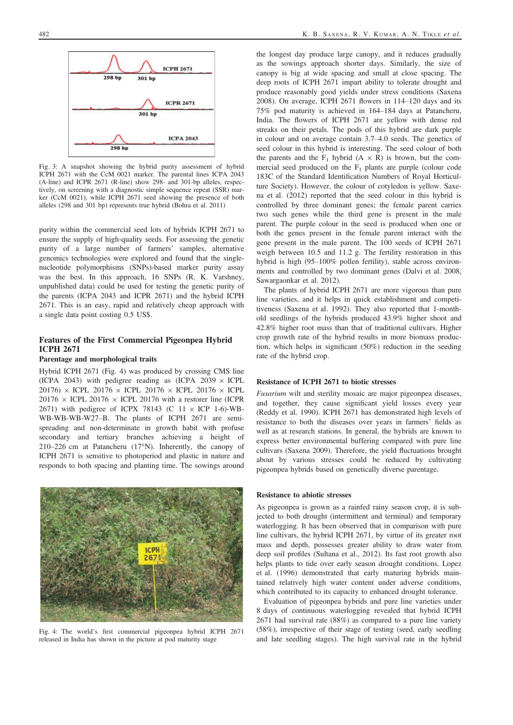

Fig. 3: A snapshot showing the hybrid purity assessment of hybrid ICPH 2671 with the CcM 0021 marker. The parental lines ICPA 2043 (A-line) and ICPR 2671 (R-line) show 298- and 301-bp alleles, respectively, on screening with a diagnostic simple sequence repeat (SSR) marker (CcM 0021), while ICPH 2671 seed showing the presence of both alleles (298 and 301 bp) represents true hybrid (Bohra et al. 2011)

purity within the commercial seed lots of hybrids ICPH 2671 to ensure the supply of high-quality seeds. For assessing the genetic purity of a large number of farmers' samples, alternative genomics technologies were explored and found that the singlenucleotide polymorphisms (SNPs)-based marker purity assay was the best. In this approach, 16 SNPs (R. K. Varshney, unpublished data) could be used for testing the genetic purity of the parents (ICPA 2043 and ICPR 2671) and the hybrid ICPH 2671. This is an easy, rapid and relatively cheap approach with a single data point costing 0.5 US\$.

# Features of the First Commercial Pigeonpea Hybrid ICPH 2671

#### Parentage and morphological traits

Hybrid ICPH 2671 (Fig. 4) was produced by crossing CMS line (ICPA 2043) with pedigree reading as (ICPA 2039  $\times$  ICPL 20176)  $\times$  ICPL 20176  $\times$  ICPL 20176  $\times$  ICPL 20176  $\times$  ICPL 20176  $\times$  ICPL 20176  $\times$  ICPL 20176 with a restorer line (ICPR 2671) with pedigree of ICPX 78143 (C  $11 \times$  ICP 1-6)-WB-WB-WB-WB-W27–B. The plants of ICPH 2671 are semispreading and non-determinate in growth habit with profuse secondary and tertiary branches achieving a height of 210–226 cm at Patancheru (17°N). Inherently, the canopy of ICPH 2671 is sensitive to photoperiod and plastic in nature and responds to both spacing and planting time. The sowings around



Fig. 4: The world's first commercial pigeonpea hybrid ICPH 2671 released in India has shown in the picture at pod maturity stage

the longest day produce large canopy, and it reduces gradually as the sowings approach shorter days. Similarly, the size of canopy is big at wide spacing and small at close spacing. The deep roots of ICPH 2671 impart ability to tolerate drought and produce reasonably good yields under stress conditions (Saxena 2008). On average, ICPH 2671 flowers in 114–120 days and its 75% pod maturity is achieved in 164–184 days at Patancheru, India. The flowers of ICPH 2671 are yellow with dense red streaks on their petals. The pods of this hybrid are dark purple in colour and on average contain 3.7–4.0 seeds. The genetics of seed colour in this hybrid is interesting. The seed colour of both the parents and the  $F_1$  hybrid  $(A \times R)$  is brown, but the commercial seed produced on the  $F_1$  plants are purple (colour code 183C of the Standard Identification Numbers of Royal Horticulture Society). However, the colour of cotyledon is yellow. Saxena et al. (2012) reported that the seed colour in this hybrid is controlled by three dominant genes; the female parent carries two such genes while the third gene is present in the male parent. The purple colour in the seed is produced when one or both the genes present in the female parent interact with the gene present in the male parent. The 100 seeds of ICPH 2671 weigh between 10.5 and 11.2 g. The fertility restoration in this hybrid is high (95–100% pollen fertility), stable across environments and controlled by two dominant genes (Dalvi et al. 2008, Sawargaonkar et al. 2012).

The plants of hybrid ICPH 2671 are more vigorous than pure line varieties, and it helps in quick establishment and competitiveness (Saxena et al. 1992). They also reported that 1-monthold seedlings of the hybrids produced 43.9% higher shoot and 42.8% higher root mass than that of traditional cultivars. Higher crop growth rate of the hybrid results in more biomass production, which helps in significant (50%) reduction in the seeding rate of the hybrid crop.

### Resistance of ICPH 2671 to biotic stresses

Fusarium wilt and sterility mosaic are major pigeonpea diseases, and together, they cause significant yield losses every year (Reddy et al. 1990). ICPH 2671 has demonstrated high levels of resistance to both the diseases over years in farmers' fields as well as at research stations. In general, the hybrids are known to express better environmental buffering compared with pure line cultivars (Saxena 2009). Therefore, the yield fluctuations brought about by various stresses could be reduced by cultivating pigeonpea hybrids based on genetically diverse parentage.

### Resistance to abiotic stresses

As pigeonpea is grown as a rainfed rainy season crop, it is subjected to both drought (intermittent and terminal) and temporary waterlogging. It has been observed that in comparison with pure line cultivars, the hybrid ICPH 2671, by virtue of its greater root mass and depth, possesses greater ability to draw water from deep soil profiles (Sultana et al., 2012). Its fast root growth also helps plants to tide over early season drought conditions. Lopez et al. (1996) demonstrated that early maturing hybrids maintained relatively high water content under adverse conditions, which contributed to its capacity to enhanced drought tolerance.

Evaluation of pigeonpea hybrids and pure line varieties under 8 days of continuous waterlogging revealed that hybrid ICPH 2671 had survival rate (88%) as compared to a pure line variety (58%), irrespective of their stage of testing (seed, early seedling and late seedling stages). The high survival rate in the hybrid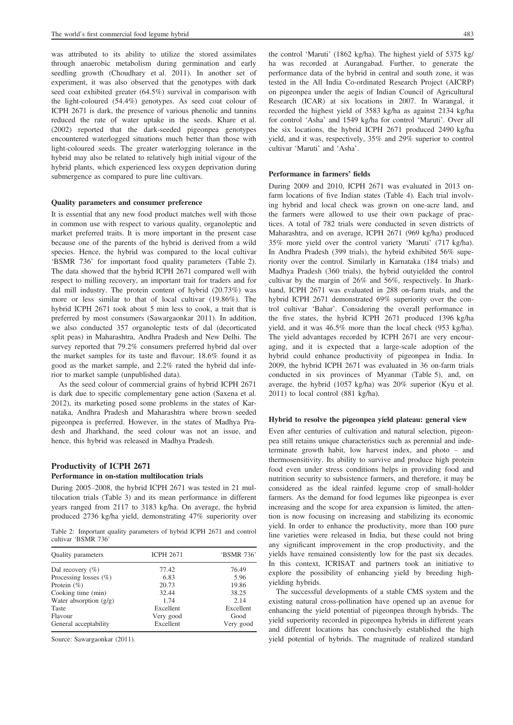was attributed to its ability to utilize the stored assimilates through anaerobic metabolism during germination and early seedling growth (Choudhary et al. 2011). In another set of experiment, it was also observed that the genotypes with dark seed coat exhibited greater (64.5%) survival in comparison with the light-coloured (54.4%) genotypes. As seed coat colour of ICPH 2671 is dark, the presence of various phenolic and tannins reduced the rate of water uptake in the seeds. Khare et al. (2002) reported that the dark-seeded pigeonpea genotypes encountered waterlogged situations much better than those with light-coloured seeds. The greater waterlogging tolerance in the hybrid may also be related to relatively high initial vigour of the hybrid plants, which experienced less oxygen deprivation during submergence as compared to pure line cultivars.

#### Quality parameters and consumer preference

It is essential that any new food product matches well with those in common use with respect to various quality, organoleptic and market preferred traits. It is more important in the present case because one of the parents of the hybrid is derived from a wild species. Hence, the hybrid was compared to the local cultivar 'BSMR 736' for important food quality parameters (Table 2). The data showed that the hybrid ICPH 2671 compared well with respect to milling recovery, an important trait for traders and for dal mill industry. The protein content of hybrid (20.73%) was more or less similar to that of local cultivar (19.86%). The hybrid ICPH 2671 took about 5 min less to cook, a trait that is preferred by most consumers (Sawargaonkar 2011). In addition, we also conducted 357 organoleptic tests of dal (decorticated split peas) in Maharashtra, Andhra Pradesh and New Delhi. The survey reported that 79.2% consumers preferred hybrid dal over the market samples for its taste and flavour; 18.6% found it as good as the market sample, and 2.2% rated the hybrid dal inferior to market sample (unpublished data).

As the seed colour of commercial grains of hybrid ICPH 2671 is dark due to specific complementary gene action (Saxena et al. 2012), its marketing posed some problems in the states of Karnataka, Andhra Pradesh and Maharashtra where brown seeded pigeonpea is preferred. However, in the states of Madhya Pradesh and Jharkhand, the seed colour was not an issue, and hence, this hybrid was released in Madhya Pradesh.

# Productivity of ICPH 2671 Performance in on-station multilocation trials

During 2005–2008, the hybrid ICPH 2671 was tested in 21 multilocation trials (Table 3) and its mean performance in different years ranged from 2117 to 3183 kg/ha. On average, the hybrid produced 2736 kg/ha yield, demonstrating 47% superiority over

Table 2: Important quality parameters of hybrid ICPH 2671 and control cultivar 'BSMR 736'

| <b>Ouality</b> parameters | <b>ICPH 2671</b> | 'BSMR 736' |  |
|---------------------------|------------------|------------|--|
| Dal recovery $(\% )$      | 77.42            | 76.49      |  |
| Processing losses $(\% )$ | 6.83             | 5.96       |  |
| Protein $(\% )$           | 20.73            | 19.86      |  |
| Cooking time (min)        | 32.44            | 38.25      |  |
| Water absorption $(g/g)$  | 1.74             | 2.14       |  |
| Taste                     | Excellent        | Excellent  |  |
| Flavour                   | Very good        | Good       |  |
| General acceptability     | Excellent        | Very good  |  |

Source: Sawargaonkar (2011).

the control 'Maruti' (1862 kg/ha). The highest yield of 5375 kg/ ha was recorded at Aurangabad. Further, to generate the performance data of the hybrid in central and south zone, it was tested in the All India Co-ordinated Research Project (AICRP) on pigeonpea under the aegis of Indian Council of Agricultural Research (ICAR) at six locations in 2007. In Warangal, it recorded the highest yield of 3583 kg/ha as against 2134 kg/ha for control 'Asha' and 1549 kg/ha for control 'Maruti'. Over all the six locations, the hybrid ICPH 2671 produced 2490 kg/ha yield, and it was, respectively, 35% and 29% superior to control cultivar 'Maruti' and 'Asha'.

## Performance in farmers' fields

During 2009 and 2010, ICPH 2671 was evaluated in 2013 onfarm locations of five Indian states (Table 4). Each trial involving hybrid and local check was grown on one-acre land, and the farmers were allowed to use their own package of practices. A total of 782 trials were conducted in seven districts of Maharashtra, and on average, ICPH 2671 (969 kg/ha) produced 35% more yield over the control variety 'Maruti' (717 kg/ha). In Andhra Pradesh (399 trials), the hybrid exhibited 56% superiority over the control. Similarly in Karnataka (184 trials) and Madhya Pradesh (360 trials), the hybrid outyielded the control cultivar by the margin of 26% and 56%, respectively. In Jharkhand, ICPH 2671 was evaluated in 288 on-farm trials, and the hybrid ICPH 2671 demonstrated 69% superiority over the control cultivar 'Bahar'. Considering the overall performance in the five states, the hybrid ICPH 2671 produced 1396 kg/ha yield, and it was 46.5% more than the local check (953 kg/ha). The yield advantages recorded by ICPH 2671 are very encouraging, and it is expected that a large-scale adoption of the hybrid could enhance productivity of pigeonpea in India. In 2009, the hybrid ICPH 2671 was evaluated in 36 on-farm trials conducted in six provinces of Myanmar (Table 5), and, on average, the hybrid (1057 kg/ha) was 20% superior (Kyu et al. 2011) to local control (881 kg/ha).

#### Hybrid to resolve the pigeonpea yield plateau: general view

Even after centuries of cultivation and natural selection, pigeonpea still retains unique characteristics such as perennial and indeterminate growth habit, low harvest index, and photo – and thermosensitivity. Its ability to survive and produce high protein food even under stress conditions helps in providing food and nutrition security to subsistence farmers, and therefore, it may be considered as the ideal rainfed legume crop of small-holder farmers. As the demand for food legumes like pigeonpea is ever increasing and the scope for area expansion is limited, the attention is now focusing on increasing and stabilizing its economic yield. In order to enhance the productivity, more than 100 pure line varieties were released in India, but these could not bring any significant improvement in the crop productivity, and the yields have remained consistently low for the past six decades. In this context, ICRISAT and partners took an initiative to explore the possibility of enhancing yield by breeding highyielding hybrids.

The successful developments of a stable CMS system and the existing natural cross-pollination have opened up an avenue for enhancing the yield potential of pigeonpea through hybrids. The yield superiority recorded in pigeonpea hybrids in different years and different locations has conclusively established the high yield potential of hybrids. The magnitude of realized standard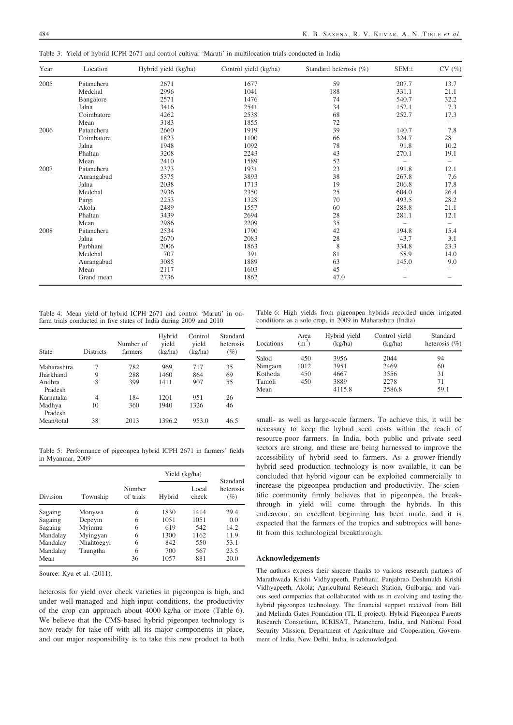Table 3: Yield of hybrid ICPH 2671 and control cultivar 'Maruti' in multilocation trials conducted in India

| Year | Location   | Hybrid yield (kg/ha) | Control yield (kg/ha) | Standard heterosis (%) | SEM±  | CV(%) |
|------|------------|----------------------|-----------------------|------------------------|-------|-------|
| 2005 | Patancheru | 2671                 | 1677                  | 59                     | 207.7 | 13.7  |
|      | Medchal    | 2996                 | 1041                  | 188                    | 331.1 | 21.1  |
|      | Bangalore  | 2571                 | 1476                  | 74                     | 540.7 | 32.2  |
|      | Jalna      | 3416                 | 2541                  | 34                     | 152.1 | 7.3   |
|      | Coimbatore | 4262                 | 2538                  | 68                     | 252.7 | 17.3  |
|      | Mean       | 3183                 | 1855                  | 72                     |       |       |
| 2006 | Patancheru | 2660                 | 1919                  | 39                     | 140.7 | 7.8   |
|      | Coimbatore | 1823                 | 1100                  | 66                     | 324.7 | 28    |
|      | Jalna      | 1948                 | 1092                  | 78                     | 91.8  | 10.2  |
|      | Phaltan    | 3208                 | 2243                  | 43                     | 270.1 | 19.1  |
|      | Mean       | 2410                 | 1589                  | 52                     |       |       |
| 2007 | Patancheru | 2373                 | 1931                  | 23                     | 191.8 | 12.1  |
|      | Aurangabad | 5375                 | 3893                  | 38                     | 267.8 | 7.6   |
|      | Jalna      | 2038                 | 1713                  | 19                     | 206.8 | 17.8  |
|      | Medchal    | 2936                 | 2350                  | 25                     | 604.0 | 26.4  |
|      | Pargi      | 2253                 | 1328                  | 70                     | 493.5 | 28.2  |
|      | Akola      | 2489                 | 1557                  | 60                     | 288.8 | 21.1  |
|      | Phaltan    | 3439                 | 2694                  | 28                     | 281.1 | 12.1  |
|      | Mean       | 2986                 | 2209                  | 35                     |       | -     |
| 2008 | Patancheru | 2534                 | 1790                  | 42                     | 194.8 | 15.4  |
|      | Jalna      | 2670                 | 2083                  | 28                     | 43.7  | 3.1   |
|      | Parbhani   | 2006                 | 1863                  | 8                      | 334.8 | 23.3  |
|      | Medchal    | 707                  | 391                   | 81                     | 58.9  | 14.0  |
|      | Aurangabad | 3085                 | 1889                  | 63                     | 145.0 | 9.0   |
|      | Mean       | 2117                 | 1603                  | 45                     |       |       |
|      | Grand mean | 2736                 | 1862                  | 47.0                   |       |       |

Table 4: Mean yield of hybrid ICPH 2671 and control 'Maruti' in onfarm trials conducted in five states of India during 2009 and 2010

Table 6: High yields from pigeonpea hybrids recorded under irrigated conditions as a sole crop, in 2009 in Maharashtra (India)

| <b>State</b>      | <b>Districts</b> | Number of<br>farmers | Hybrid<br>vield<br>(kg/ha) | Control<br>vield<br>(kg/ha) | Standard<br>heterosis<br>$(\%)$ |
|-------------------|------------------|----------------------|----------------------------|-----------------------------|---------------------------------|
| Maharashtra       | 7                | 782                  | 969                        | 717                         | 35                              |
| Jharkhand         | 9                | 288                  | 1460                       | 864                         | 69                              |
| Andhra<br>Pradesh | 8                | 399                  | 1411                       | 907                         | 55                              |
| Karnataka         | 4                | 184                  | 1201                       | 951                         | 26                              |
| Madhya<br>Pradesh | 10               | 360                  | 1940                       | 1326                        | 46                              |
| Mean/total        | 38               | 2013                 | 1396.2                     | 953.0                       | 46.5                            |

Table 5: Performance of pigeonpea hybrid ICPH 2671 in farmers' fields in Myanmar, 2009

|          |            |                     | Yield (kg/ha) |                |                                 |
|----------|------------|---------------------|---------------|----------------|---------------------------------|
| Division | Township   | Number<br>of trials | Hybrid        | Local<br>check | Standard<br>heterosis<br>$(\%)$ |
| Sagaing  | Monywa     | 6                   | 1830          | 1414           | 29.4                            |
| Sagaing  | Depeyin    | 6                   | 1051          | 1051           | 0.0                             |
| Sagaing  | Myinmu     | 6                   | 619           | 542            | 14.2                            |
| Mandalay | Myingyan   | 6                   | 1300          | 1162           | 11.9                            |
| Mandalay | Nhahtoegyi | 6                   | 842           | 550            | 53.1                            |
| Mandalay | Taungtha   | 6                   | 700           | 567            | 23.5                            |
| Mean     |            | 36                  | 1057          | 881            | 20.0                            |

Source: Kyu et al. (2011).

heterosis for yield over check varieties in pigeonpea is high, and under well-managed and high-input conditions, the productivity of the crop can approach about 4000 kg/ha or more (Table 6). We believe that the CMS-based hybrid pigeonpea technology is now ready for take-off with all its major components in place, and our major responsibility is to take this new product to both

| Locations | Area<br>(m <sup>2</sup> ) | Hybrid yield<br>(kg/ha) | Control yield<br>(kg/ha) | Standard<br>heterosis $(\% )$ |
|-----------|---------------------------|-------------------------|--------------------------|-------------------------------|
| Salod     | 450                       | 3956                    | 2044                     | 94                            |
| Nimgaon   | 1012                      | 3951                    | 2469                     | 60                            |
| Kothoda   | 450                       | 4667                    | 3556                     | 31                            |
| Tamoli    | 450                       | 3889                    | 2278                     | 71                            |
| Mean      |                           | 4115.8                  | 2586.8                   | 59.1                          |

small- as well as large-scale farmers. To achieve this, it will be necessary to keep the hybrid seed costs within the reach of resource-poor farmers. In India, both public and private seed sectors are strong, and these are being harnessed to improve the accessibility of hybrid seed to farmers. As a grower-friendly hybrid seed production technology is now available, it can be concluded that hybrid vigour can be exploited commercially to increase the pigeonpea production and productivity. The scientific community firmly believes that in pigeonpea, the breakthrough in yield will come through the hybrids. In this endeavour, an excellent beginning has been made, and it is expected that the farmers of the tropics and subtropics will benefit from this technological breakthrough.

#### Acknowledgements

The authors express their sincere thanks to various research partners of Marathwada Krishi Vidhyapeeth, Parbhani; Panjabrao Deshmukh Krishi Vidhyapeeth, Akola; Agricultural Research Station, Gulbarga; and various seed companies that collaborated with us in evolving and testing the hybrid pigeonpea technology. The financial support received from Bill and Melinda Gates Foundation (TL II project), Hybrid Pigeonpea Parents Research Consortium, ICRISAT, Patancheru, India, and National Food Security Mission, Department of Agriculture and Cooperation, Government of India, New Delhi, India, is acknowledged.